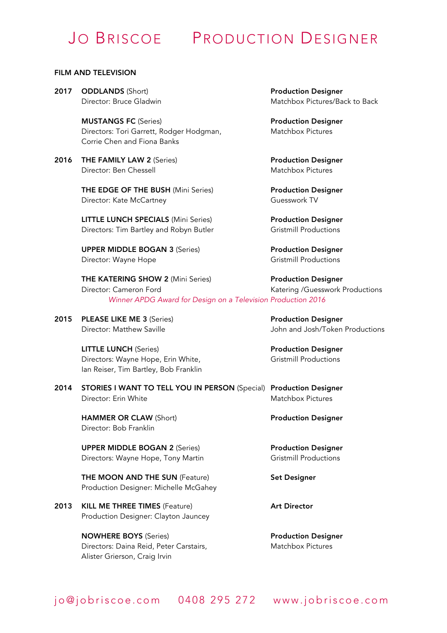# JO BRISCOE PRODUCTION DESIGNER

#### FILM AND TELEVISION

2017 ODDLANDS (Short) **Production Designer** 

MUSTANGS FC (Series) **Production Designer** Directors: Tori Garrett, Rodger Hodgman, Matchbox Pictures Corrie Chen and Fiona Banks

2016 THE FAMILY LAW 2 (Series) The State of Production Designer Director: Ben Chessell Matchbox Pictures

THE EDGE OF THE BUSH (Mini Series) Production Designer Director: Kate McCartney **Guesswork TV** 

LITTLE LUNCH SPECIALS (Mini Series) Production Designer Directors: Tim Bartley and Robyn Butler Gristmill Productions

UPPER MIDDLE BOGAN 3 (Series) Production Designer Director: Wayne Hope Gristmill Productions

2015 PLEASE LIKE ME 3 (Series) Production Designer

LITTLE LUNCH (Series) **Example 2** Production Designer Directors: Wayne Hope, Erin White, Gristmill Productions Ian Reiser, Tim Bartley, Bob Franklin

2014 STORIES I WANT TO TELL YOU IN PERSON (Special) Production Designer Director: Erin White Matchbox Pictures

HAMMER OR CLAW (Short) **Production Designer** Director: Bob Franklin

UPPER MIDDLE BOGAN 2 (Series) Production Designer Directors: Wayne Hope, Tony Martin Gristmill Productions

THE MOON AND THE SUN (Feature) Set Designer Production Designer: Michelle McGahey

2013 KILL ME THREE TIMES (Feature) Art Director Production Designer: Clayton Jauncey

> NOWHERE BOYS (Series) **Production Designer** Directors: Daina Reid, Peter Carstairs, Matchbox Pictures Alister Grierson, Craig Irvin

Director: Bruce Gladwin Matchbox Pictures/Back to Back

THE KATERING SHOW 2 (Mini Series) Production Designer Director: Cameron Ford **Katering /Guesswork Productions** *Winner APDG Award for Design on a Television Production 2016*

Director: Matthew Saville John and Josh/Token Productions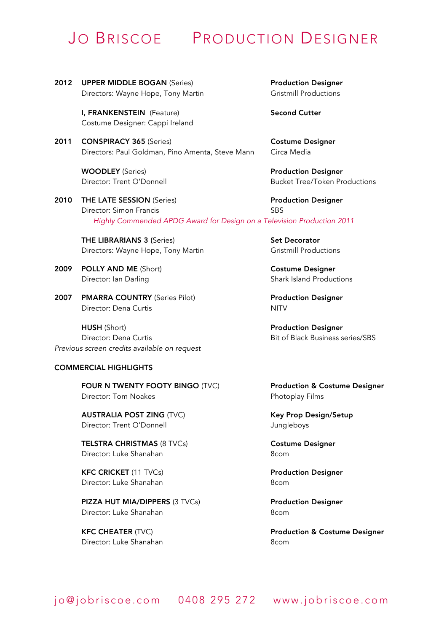### JO BRISCOE PRODUCTION DESIGNER

2012 UPPER MIDDLE BOGAN (Series) The Production Designer Directors: Wayne Hope, Tony Martin Gristmill Productions

I, FRANKENSTEIN (Feature) Second Cutter Costume Designer: Cappi Ireland

2011 CONSPIRACY 365 (Series) Costume Designer Directors: Paul Goldman, Pino Amenta, Steve Mann Circa Media

WOODLEY (Series) **Production Designer** 

2010 THE LATE SESSION (Series) **Production Designer** Director: Simon Francis SBS *Highly Commended APDG Award for Design on a Television Production 2011*

THE LIBRARIANS 3 (Series) Set Decorator Directors: Wayne Hope, Tony Martin Gristmill Productions

- 2009 POLLY AND ME (Short) COSTUME Designer Director: Ian Darling Shark Island Productions
- 2007 PMARRA COUNTRY (Series Pilot) Production Designer Director: Dena Curtis NITV

HUSH (Short) **Production Designer** Director: Dena Curtis **Bit of Black Business series/SBS** *Previous screen credits available on request*

#### COMMERCIAL HIGHLIGHTS

FOUR N TWENTY FOOTY BINGO (TVC) Production & Costume Designer Director: Tom Noakes **Photoplay Films** 

AUSTRALIA POST ZING (TVC) Key Prop Design/Setup Director: Trent O'Donnell and a state of the Jungleboys

TELSTRA CHRISTMAS (8 TVCs) Costume Designer Director: Luke Shanahan 8com

KFC CRICKET (11 TVCs) Production Designer Director: Luke Shanahan 8com

PIZZA HUT MIA/DIPPERS (3 TVCs) Production Designer Director: Luke Shanahan 8com

Director: Luke Shanahan 8com

Director: Trent O'Donnell Bucket Tree/Token Productions

KFC CHEATER (TVC) **Reserves The Contract CHEATER** (TVC)